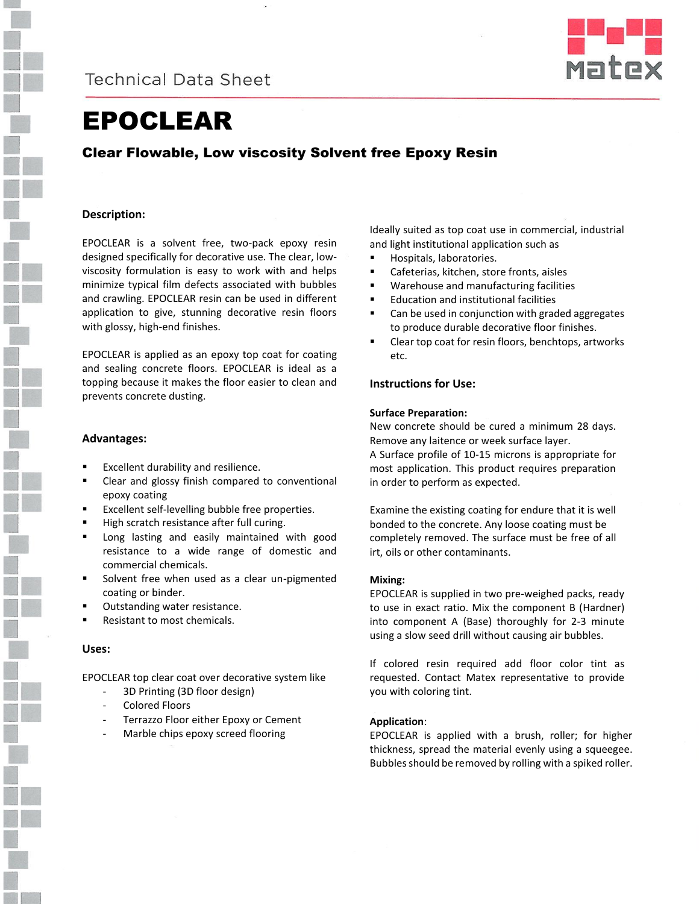



# EPOCLEAR

### Clear Flowable, Low viscosity Solvent free Epoxy Resin

### **Description:**

EPOCLEAR is a solvent free, two-pack epoxy resin designed specifically for decorative use. The clear, lowviscosity formulation is easy to work with and helps minimize typical film defects associated with bubbles and crawling. EPOCLEAR resin can be used in different application to give, stunning decorative resin floors with glossy, high-end finishes.

EPOCLEAR is applied as an epoxy top coat for coating and sealing concrete floors. EPOCLEAR is ideal as a topping because it makes the floor easier to clean and prevents concrete dusting.

### **Advantages:**

- Excellent durability and resilience.
- Clear and glossy finish compared to conventional epoxy coating
- **Excellent self-levelling bubble free properties.**
- High scratch resistance after full curing.
- Long lasting and easily maintained with good resistance to a wide range of domestic and commercial chemicals.
- Solvent free when used as a clear un-pigmented coating or binder.
- Outstanding water resistance.
- Resistant to most chemicals.

### **Uses:**

EPOCLEAR top clear coat over decorative system like

- 3D Printing (3D floor design)
- Colored Floors
- Terrazzo Floor either Epoxy or Cement
- Marble chips epoxy screed flooring

Ideally suited as top coat use in commercial, industrial and light institutional application such as

- Hospitals, laboratories.
- Cafeterias, kitchen, store fronts, aisles
- Warehouse and manufacturing facilities
- Education and institutional facilities
- Can be used in conjunction with graded aggregates to produce durable decorative floor finishes.
- Clear top coat for resin floors, benchtops, artworks etc.

### **Instructions for Use:**

### **Surface Preparation:**

irt, oils or other contaminants.

New concrete should be cured a minimum 28 days. Remove any laitence or week surface layer. A Surface profile of 10-15 microns is appropriate for most application. This product requires preparation

in order to perform as expected. Examine the existing coating for endure that it is well bonded to the concrete. Any loose coating must be completely removed. The surface must be free of all

### **Mixing:**

EPOCLEAR is supplied in two pre-weighed packs, ready to use in exact ratio. Mix the component B (Hardner) into component A (Base) thoroughly for 2-3 minute using a slow seed drill without causing air bubbles.

If colored resin required add floor color tint as requested. Contact Matex representative to provide you with coloring tint.

#### **Application**:

EPOCLEAR is applied with a brush, roller; for higher thickness, spread the material evenly using a squeegee. Bubbles should be removed by rolling with a spiked roller.